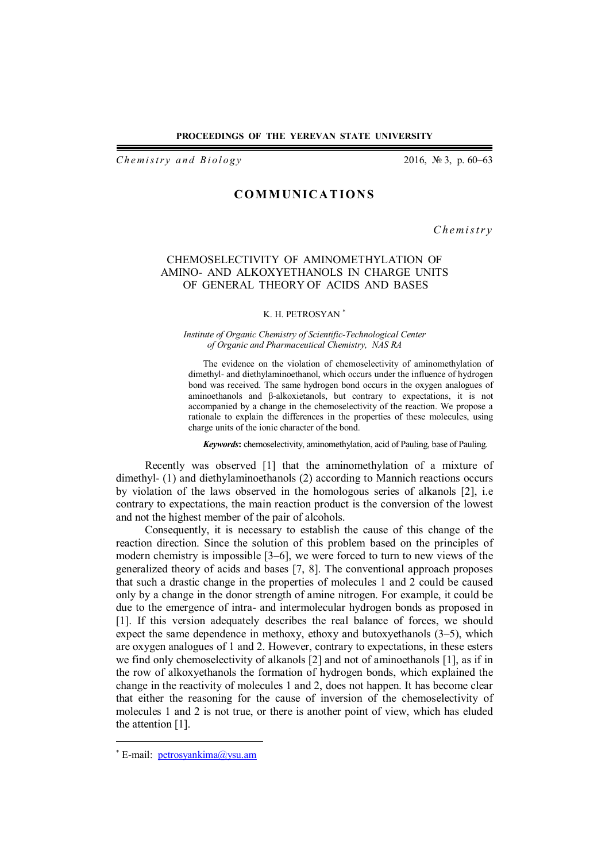### **PROCEEDINGS OF THE YEREVAN STATE UNIVERSITY**

*Chemistry and Biology* 2016, № 3, p. 60–63

# **COM M UNICA T IONS**

*C h em i s t r y*

# CHEMOSELECTIVITY OF AMINOMETHYLATION OF AMINO- AND ALKOXYETHANOLS IN CHARGE UNITS OF GENERAL THEORY OF ACIDS AND BASES

## K. H. PETROSYAN

#### *Institute of Organic Chemistry of Scientific-Technological Center of Organic and Pharmaceutical Chemistry, NAS RA*

The evidence on the violation of chemoselectivity of aminomethylation of dimethyl- and diethylaminoethanol, which occurs under the influence of hydrogen bond was received. The same hydrogen bond occurs in the oxygen analogues of aminoethanols and β-alkoxietanols, but contrary to expectations, it is not accompanied by a change in the chemoselectivity of the reaction. We propose a rationale to explain the differences in the properties of these molecules, using charge units of the ionic character of the bond.

*Keywords***:** chemoselectivity, aminomethylation, acid of Pauling, base of Pauling.

Recently was observed [1] that the aminomethylation of a mixture of dimethyl- (1) and diethylaminoethanols (2) according to Mannich reactions occurs by violation of the laws observed in the homologous series of alkanols [2], i.e contrary to expectations, the main reaction product is the conversion of the lowest and not the highest member of the pair of alcohols.

Consequently, it is necessary to establish the cause of this change of the reaction direction. Since the solution of this problem based on the principles of modern chemistry is impossible [3–6], we were forced to turn to new views of the generalized theory of acids and bases [7, 8]. The conventional approach proposes that such a drastic change in the properties of molecules 1 and 2 could be caused only by a change in the donor strength of amine nitrogen. For example, it could be due to the emergence of intra- and intermolecular hydrogen bonds as proposed in [1]. If this version adequately describes the real balance of forces, we should expect the same dependence in methoxy, ethoxy and butoxyethanols (3–5), which are oxygen analogues of 1 and 2. However, contrary to expectations, in these esters we find only chemoselectivity of alkanols [2] and not of aminoethanols [1], as if in the row of alkoxyethanols the formation of hydrogen bonds, which explained the change in the reactivity of molecules 1 and 2, does not happen. It has become clear that either the reasoning for the cause of inversion of the chemoselectivity of molecules 1 and 2 is not true, or there is another point of view, which has eluded the attention [1].

 $\overline{a}$ 

<sup>\*</sup> E-mail: petrosyankima@ysu.am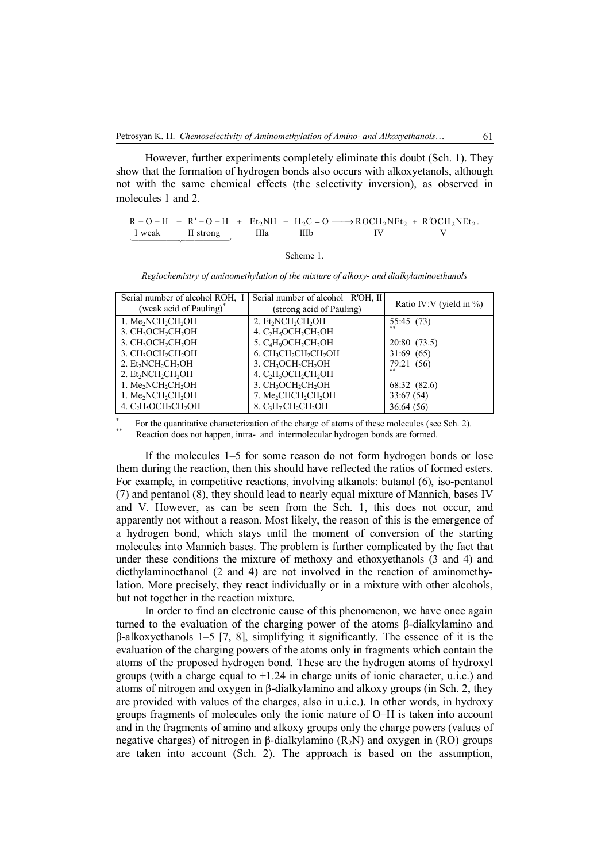However, further experiments completely eliminate this doubt (Sch. 1). They show that the formation of hydrogen bonds also occurs with alkoxyetanols, although not with the same chemical effects (the selectivity inversion), as observed in molecules 1 and 2.

 $R - O - H + R' - O - H + Et_2NH + H_2C = O \longrightarrow ROCH_2NEt_2 + R'OCH_2NEt_2$ . I weak II strong IIIa IIIb IV V I weak II strong

Scheme 1.

*Regiochemistry of aminomethylation of the mixture of alkoxy- and dialkylaminoethanols*

| Serial number of alcohol ROH, I                                      | Serial number of alcohol R'OH, II                                     |                             |
|----------------------------------------------------------------------|-----------------------------------------------------------------------|-----------------------------|
| (weak acid of Pauling) <sup>*</sup>                                  | (strong acid of Pauling)                                              | Ratio IV:V (yield in $\%$ ) |
| 1. $Me2NCH2CH2OH$                                                    | 2. Et <sub>2</sub> NCH <sub>2</sub> CH <sub>2</sub> OH                | 55:45 (73)                  |
| 3. CH <sub>3</sub> OCH <sub>2</sub> CH <sub>2</sub> OH               | 4. C <sub>2</sub> H <sub>5</sub> OCH <sub>2</sub> CH <sub>2</sub> OH  |                             |
| 3. CH <sub>3</sub> OCH <sub>2</sub> CH <sub>2</sub> OH               | 5. C <sub>4</sub> H <sub>9</sub> OCH <sub>2</sub> CH <sub>2</sub> OH  | 20:80 (73.5)                |
| 3. CH <sub>3</sub> OCH <sub>2</sub> CH <sub>2</sub> OH               | 6. CH <sub>3</sub> CH <sub>2</sub> CH <sub>2</sub> CH <sub>2</sub> OH | 31:69(65)                   |
| 2. Et <sub>2</sub> NCH <sub>2</sub> CH <sub>2</sub> OH               | 3. CH <sub>3</sub> OCH <sub>2</sub> CH <sub>2</sub> OH                | 79:21 (56)                  |
| 2. Et <sub>2</sub> NCH <sub>2</sub> CH <sub>2</sub> OH               | 4. C <sub>2</sub> H <sub>5</sub> OCH <sub>2</sub> CH <sub>2</sub> OH  |                             |
| 1. Me <sub>2</sub> NCH <sub>2</sub> CH <sub>2</sub> OH               | 3. CH <sub>3</sub> OCH <sub>2</sub> CH <sub>2</sub> OH                | 68:32 (82.6)                |
| 1. Me <sub>2</sub> NCH <sub>2</sub> CH <sub>2</sub> OH               | 7. Me <sub>2</sub> CHCH <sub>2</sub> CH <sub>2</sub> OH               | 33:67(54)                   |
| 4. C <sub>2</sub> H <sub>5</sub> OCH <sub>2</sub> CH <sub>2</sub> OH | 8. $C_3H_7CH_2CH_2OH$                                                 | 36:64(56)                   |

\* For the quantitative characterization of the charge of atoms of these molecules (see Sch. 2). \*\* Reaction does not happen, intra- and intermolecular hydrogen bonds are formed.

If the molecules 1–5 for some reason do not form hydrogen bonds or lose them during the reaction, then this should have reflected the ratios of formed esters. For example, in competitive reactions, involving alkanols: butanol (6), iso-pentanol (7) and pentanol (8), they should lead to nearly equal mixture of Mannich, bases IV and V. However, as can be seen from the Sch. 1, this does not occur, and apparently not without a reason. Most likely, the reason of this is the emergence of a hydrogen bond, which stays until the moment of conversion of the starting molecules into Mannich bases. The problem is further complicated by the fact that under these conditions the mixture of methoxy and ethoxyethanols (3 and 4) and diethylaminoethanol (2 and 4) are not involved in the reaction of aminomethylation. More precisely, they react individually or in a mixture with other alcohols, but not together in the reaction mixture.

In order to find an electronic cause of this phenomenon, we have once again turned to the evaluation of the charging power of the atoms β-dialkylamino and β-alkoxyethanols 1–5 [7, 8], simplifying it significantly. The essence of it is the evaluation of the charging powers of the atoms only in fragments which contain the atoms of the proposed hydrogen bond. These are the hydrogen atoms of hydroxyl groups (with a charge equal to +1.24 in charge units of ionic character, u.i.c.) and atoms of nitrogen and oxygen in β-dialkylamino and alkoxy groups (in Sch. 2, they are provided with values of the charges, also in u.i.c.). In other words, in hydroxy groups fragments of molecules only the ionic nature of O–H is taken into account and in the fragments of amino and alkoxy groups only the charge powers (values of negative charges) of nitrogen in β-dialkylamino  $(R_2N)$  and oxygen in  $(RO)$  groups are taken into account (Sch. 2). The approach is based on the assumption,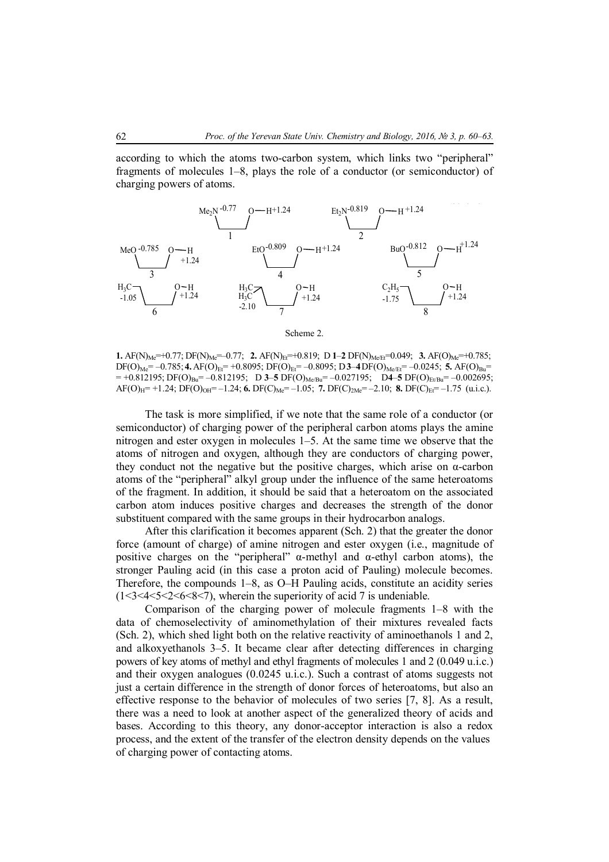according to which the atoms two-carbon system, which links two "peripheral" fragments of molecules 1–8, plays the role of a conductor (or semiconductor) of charging powers of atoms.



Scheme 2.

**1.** AF(N)<sub>Me</sub>=+0.77; DF(N)<sub>Me</sub>=-0.77; **2.** AF(N)<sub>Et</sub>=+0.819; **D 1–2** DF(N)<sub>Me/Et</sub>=0.049; **3.** AF(O)<sub>Me</sub>=+0.785;  $DF(O)_{Me} = -0.785;$  **4.** AF(O)<sub>Et</sub> = +0.8095; DF(O)<sub>Et</sub> = -0.8095; D**3**–4**DF**(O)<sub>Me/Ft</sub> = -0.0245; **5.** AF(O)<sub>Bu</sub>=  $= +0.812195$ ; DF(O)<sub>Bu</sub> $= -0.812195$ ; D **3-5** DF(O)<sub>Me/Bu</sub> $= -0.027195$ ; D **4-5** DF(O)<sub>Et/Bu</sub> $= -0.002695$ ;  $AF(O)_{H} = +1.24$ ;  $DF(O)_{OH} = -1.24$ ; **6.**  $DF(C)_{Me} = -1.05$ ; **7.**  $DF(C)_{2Me} = -2.10$ ; **8.**  $DF(C)_{EF} = -1.75$  (u.i.e.).

The task is more simplified, if we note that the same role of a conductor (or semiconductor) of charging power of the peripheral carbon atoms plays the amine nitrogen and ester oxygen in molecules 1–5. At the same time we observe that the atoms of nitrogen and oxygen, although they are conductors of charging power, they conduct not the negative but the positive charges, which arise on α-carbon atoms of the "peripheral" alkyl group under the influence of the same heteroatoms of the fragment. In addition, it should be said that a heteroatom on the associated carbon atom induces positive charges and decreases the strength of the donor substituent compared with the same groups in their hydrocarbon analogs.

After this clarification it becomes apparent (Sch. 2) that the greater the donor force (amount of charge) of amine nitrogen and ester oxygen (i.e., magnitude of positive charges on the "peripheral"  $α$ -methyl and  $α$ -ethyl carbon atoms), the stronger Pauling acid (in this case a proton acid of Pauling) molecule becomes. Therefore, the compounds 1–8, as O–H Pauling acids, constitute an acidity series  $(1<3<4<5<2<6<8<7)$ , wherein the superiority of acid 7 is undeniable.

Comparison of the charging power of molecule fragments 1–8 with the data of chemoselectivity of aminomethylation of their mixtures revealed facts (Sch. 2), which shed light both on the relative reactivity of aminoethanols 1 and 2, and alkoxyethanols 3–5. It became clear after detecting differences in charging powers of key atoms of methyl and ethyl fragments of molecules 1 and 2 (0.049 u.i.c.) and their oxygen analogues (0.0245 u.i.c.). Such a contrast of atoms suggests not just a certain difference in the strength of donor forces of heteroatoms, but also an effective response to the behavior of molecules of two series [7, 8]. As a result, there was a need to look at another aspect of the generalized theory of acids and bases. According to this theory, any donor-acceptor interaction is also a redox process, and the extent of the transfer of the electron density depends on the values of charging power of contacting atoms.